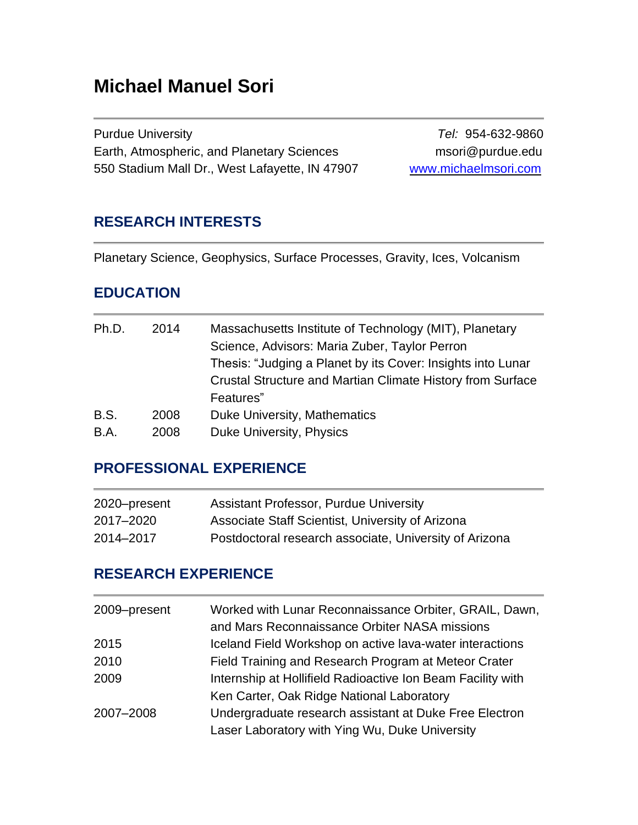# **Michael Manuel Sori**

Purdue University *Tel:* 954-632-9860 Earth, Atmospheric, and Planetary Sciences msori@purdue.edu 550 Stadium Mall Dr., West Lafayette, IN 47907 [www.michaelmsori.com](http://www.lpl.arizona.edu/~sori)

### **RESEARCH INTERESTS**

Planetary Science, Geophysics, Surface Processes, Gravity, Ices, Volcanism

### **EDUCATION**

| Ph.D.       | 2014 | Massachusetts Institute of Technology (MIT), Planetary      |
|-------------|------|-------------------------------------------------------------|
|             |      | Science, Advisors: Maria Zuber, Taylor Perron               |
|             |      | Thesis: "Judging a Planet by its Cover: Insights into Lunar |
|             |      | Crustal Structure and Martian Climate History from Surface  |
|             |      | Features"                                                   |
| <b>B.S.</b> | 2008 | Duke University, Mathematics                                |
| B.A.        | 2008 | Duke University, Physics                                    |

# **PROFESSIONAL EXPERIENCE**

| 2020–present | <b>Assistant Professor, Purdue University</b>          |
|--------------|--------------------------------------------------------|
| 2017–2020    | Associate Staff Scientist, University of Arizona       |
| 2014–2017    | Postdoctoral research associate, University of Arizona |

### **RESEARCH EXPERIENCE**

| 2009-present | Worked with Lunar Reconnaissance Orbiter, GRAIL, Dawn,<br>and Mars Reconnaissance Orbiter NASA missions |
|--------------|---------------------------------------------------------------------------------------------------------|
| 2015         | Iceland Field Workshop on active lava-water interactions                                                |
| 2010         | Field Training and Research Program at Meteor Crater                                                    |
| 2009         | Internship at Hollifield Radioactive Ion Beam Facility with                                             |
|              | Ken Carter, Oak Ridge National Laboratory                                                               |
| 2007-2008    | Undergraduate research assistant at Duke Free Electron                                                  |
|              | Laser Laboratory with Ying Wu, Duke University                                                          |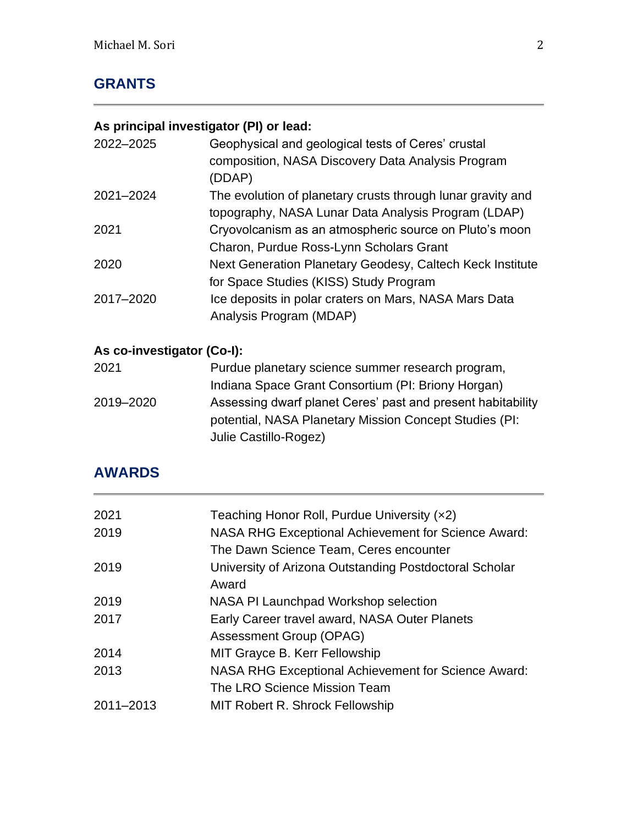# **GRANTS**

# **As principal investigator (PI) or lead:**

| 2022-2025 | Geophysical and geological tests of Ceres' crustal<br>composition, NASA Discovery Data Analysis Program<br>(DDAP) |
|-----------|-------------------------------------------------------------------------------------------------------------------|
| 2021-2024 | The evolution of planetary crusts through lunar gravity and                                                       |
|           | topography, NASA Lunar Data Analysis Program (LDAP)                                                               |
| 2021      | Cryovolcanism as an atmospheric source on Pluto's moon                                                            |
|           | Charon, Purdue Ross-Lynn Scholars Grant                                                                           |
| 2020      | Next Generation Planetary Geodesy, Caltech Keck Institute                                                         |
|           | for Space Studies (KISS) Study Program                                                                            |
| 2017-2020 | Ice deposits in polar craters on Mars, NASA Mars Data                                                             |
|           | Analysis Program (MDAP)                                                                                           |

# **As co-investigator (Co-I):**

| 2021      | Purdue planetary science summer research program,           |
|-----------|-------------------------------------------------------------|
|           | Indiana Space Grant Consortium (PI: Briony Horgan)          |
| 2019-2020 | Assessing dwarf planet Ceres' past and present habitability |
|           | potential, NASA Planetary Mission Concept Studies (PI:      |
|           | Julie Castillo-Rogez)                                       |

# **AWARDS**

| 2021      | Teaching Honor Roll, Purdue University (x2)            |
|-----------|--------------------------------------------------------|
| 2019      | NASA RHG Exceptional Achievement for Science Award:    |
|           | The Dawn Science Team, Ceres encounter                 |
| 2019      | University of Arizona Outstanding Postdoctoral Scholar |
|           | Award                                                  |
| 2019      | NASA PI Launchpad Workshop selection                   |
| 2017      | Early Career travel award, NASA Outer Planets          |
|           | Assessment Group (OPAG)                                |
| 2014      | MIT Grayce B. Kerr Fellowship                          |
| 2013      | NASA RHG Exceptional Achievement for Science Award:    |
|           | The LRO Science Mission Team                           |
| 2011-2013 | MIT Robert R. Shrock Fellowship                        |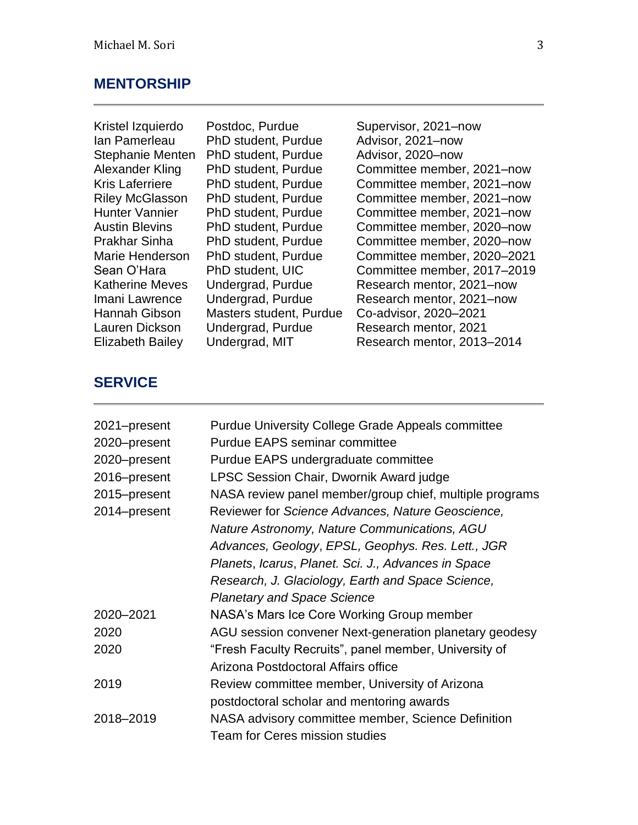#### **MENTORSHIP**

Ian Pamerleau PhD student, Purdue Advisor, 2021–now Stephanie Menten PhD student, Purdue Advisor, 2020-now Hannah Gibson Masters student, Purdue Co-advisor, 2020–2021

Kristel Izquierdo Postdoc, Purdue Supervisor, 2021–now Alexander Kling PhD student, Purdue Committee member, 2021–now Kris Laferriere PhD student, Purdue Committee member, 2021–now Riley McGlasson PhD student, Purdue Committee member, 2021–now Hunter Vannier PhD student, Purdue Committee member, 2021–now Austin Blevins PhD student, Purdue Committee member, 2020–now Prakhar Sinha PhD student, Purdue Committee member, 2020–now Marie Henderson PhD student, Purdue Committee member, 2020–2021 Sean O'Hara PhD student, UIC Committee member, 2017–2019 Katherine Meves Undergrad, Purdue Research mentor, 2021–now Imani Lawrence Undergrad, Purdue Research mentor, 2021–now Lauren Dickson Undergrad, Purdue Research mentor, 2021 Elizabeth Bailey Undergrad, MIT Research mentor, 2013–2014

#### **SERVICE**

| 2021-present | <b>Purdue University College Grade Appeals committee</b> |
|--------------|----------------------------------------------------------|
| 2020-present | <b>Purdue EAPS seminar committee</b>                     |
| 2020-present | Purdue EAPS undergraduate committee                      |
| 2016-present | LPSC Session Chair, Dwornik Award judge                  |
| 2015–present | NASA review panel member/group chief, multiple programs  |
| 2014-present | Reviewer for Science Advances, Nature Geoscience,        |
|              | Nature Astronomy, Nature Communications, AGU             |
|              | Advances, Geology, EPSL, Geophys. Res. Lett., JGR        |
|              | Planets, Icarus, Planet. Sci. J., Advances in Space      |
|              | Research, J. Glaciology, Earth and Space Science,        |
|              | <b>Planetary and Space Science</b>                       |
| 2020-2021    | NASA's Mars Ice Core Working Group member                |
| 2020         | AGU session convener Next-generation planetary geodesy   |
| 2020         | "Fresh Faculty Recruits", panel member, University of    |
|              | Arizona Postdoctoral Affairs office                      |
| 2019         | Review committee member, University of Arizona           |
|              | postdoctoral scholar and mentoring awards                |
| 2018-2019    | NASA advisory committee member, Science Definition       |
|              | <b>Team for Ceres mission studies</b>                    |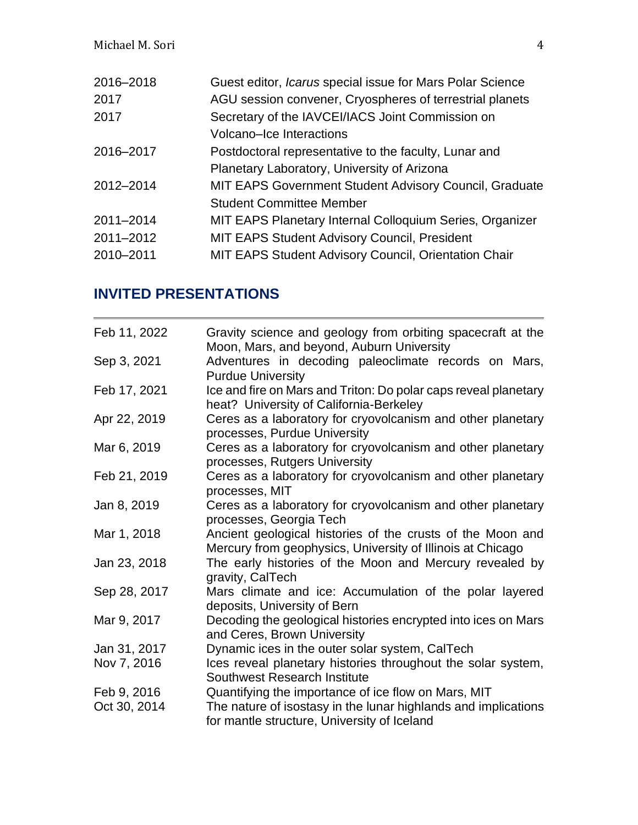| 2016-2018 | Guest editor, Icarus special issue for Mars Polar Science     |
|-----------|---------------------------------------------------------------|
| 2017      | AGU session convener, Cryospheres of terrestrial planets      |
| 2017      | Secretary of the IAVCEI/IACS Joint Commission on              |
|           | Volcano-Ice Interactions                                      |
| 2016-2017 | Postdoctoral representative to the faculty, Lunar and         |
|           | Planetary Laboratory, University of Arizona                   |
| 2012-2014 | <b>MIT EAPS Government Student Advisory Council, Graduate</b> |
|           | <b>Student Committee Member</b>                               |
| 2011-2014 | MIT EAPS Planetary Internal Colloquium Series, Organizer      |
| 2011-2012 | <b>MIT EAPS Student Advisory Council, President</b>           |
| 2010-2011 | <b>MIT EAPS Student Advisory Council, Orientation Chair</b>   |
|           |                                                               |

# **INVITED PRESENTATIONS**

| Feb 11, 2022 | Gravity science and geology from orbiting spacecraft at the                                                              |
|--------------|--------------------------------------------------------------------------------------------------------------------------|
|              | Moon, Mars, and beyond, Auburn University                                                                                |
| Sep 3, 2021  | Adventures in decoding paleoclimate records on Mars,<br><b>Purdue University</b>                                         |
| Feb 17, 2021 | Ice and fire on Mars and Triton: Do polar caps reveal planetary<br>heat? University of California-Berkeley               |
| Apr 22, 2019 | Ceres as a laboratory for cryovolcanism and other planetary<br>processes, Purdue University                              |
| Mar 6, 2019  | Ceres as a laboratory for cryovolcanism and other planetary<br>processes, Rutgers University                             |
| Feb 21, 2019 | Ceres as a laboratory for cryovolcanism and other planetary<br>processes, MIT                                            |
| Jan 8, 2019  | Ceres as a laboratory for cryovolcanism and other planetary<br>processes, Georgia Tech                                   |
| Mar 1, 2018  | Ancient geological histories of the crusts of the Moon and<br>Mercury from geophysics, University of Illinois at Chicago |
| Jan 23, 2018 | The early histories of the Moon and Mercury revealed by<br>gravity, CalTech                                              |
| Sep 28, 2017 | Mars climate and ice: Accumulation of the polar layered<br>deposits, University of Bern                                  |
| Mar 9, 2017  | Decoding the geological histories encrypted into ices on Mars<br>and Ceres, Brown University                             |
| Jan 31, 2017 | Dynamic ices in the outer solar system, CalTech                                                                          |
| Nov 7, 2016  | Ices reveal planetary histories throughout the solar system,<br>Southwest Research Institute                             |
| Feb 9, 2016  | Quantifying the importance of ice flow on Mars, MIT                                                                      |
| Oct 30, 2014 | The nature of isostasy in the lunar highlands and implications<br>for mantle structure, University of Iceland            |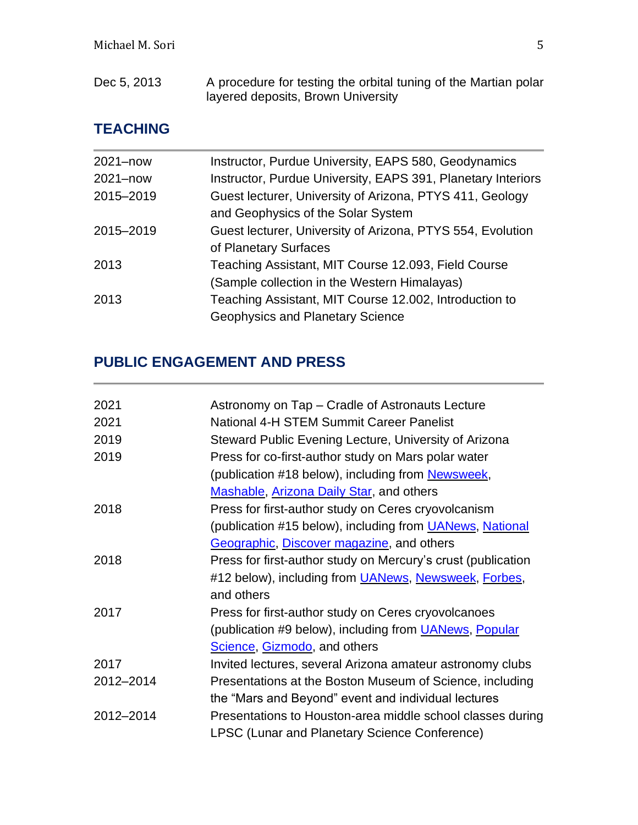| Dec 5, 2013 | A procedure for testing the orbital tuning of the Martian polar |
|-------------|-----------------------------------------------------------------|
|             | layered deposits, Brown University                              |

# **TEACHING**

| 2021-now  | Instructor, Purdue University, EAPS 580, Geodynamics         |
|-----------|--------------------------------------------------------------|
| 2021-now  | Instructor, Purdue University, EAPS 391, Planetary Interiors |
| 2015-2019 | Guest lecturer, University of Arizona, PTYS 411, Geology     |
|           | and Geophysics of the Solar System                           |
| 2015-2019 | Guest lecturer, University of Arizona, PTYS 554, Evolution   |
|           | of Planetary Surfaces                                        |
| 2013      | Teaching Assistant, MIT Course 12.093, Field Course          |
|           | (Sample collection in the Western Himalayas)                 |
| 2013      | Teaching Assistant, MIT Course 12.002, Introduction to       |
|           | <b>Geophysics and Planetary Science</b>                      |
|           |                                                              |

# **PUBLIC ENGAGEMENT AND PRESS**

| Astronomy on Tap – Cradle of Astronauts Lecture                  |
|------------------------------------------------------------------|
| National 4-H STEM Summit Career Panelist                         |
| Steward Public Evening Lecture, University of Arizona            |
| Press for co-first-author study on Mars polar water              |
| (publication #18 below), including from Newsweek,                |
| <b>Mashable, Arizona Daily Star, and others</b>                  |
| Press for first-author study on Ceres cryovolcanism              |
| (publication #15 below), including from <b>UANews</b> , National |
| Geographic, Discover magazine, and others                        |
| Press for first-author study on Mercury's crust (publication     |
| #12 below), including from <i>UANews</i> , Newsweek, Forbes,     |
| and others                                                       |
| Press for first-author study on Ceres cryovolcanoes              |
| (publication #9 below), including from UANews, Popular           |
| Science, Gizmodo, and others                                     |
| Invited lectures, several Arizona amateur astronomy clubs        |
| Presentations at the Boston Museum of Science, including         |
| the "Mars and Beyond" event and individual lectures              |
| Presentations to Houston-area middle school classes during       |
| <b>LPSC (Lunar and Planetary Science Conference)</b>             |
|                                                                  |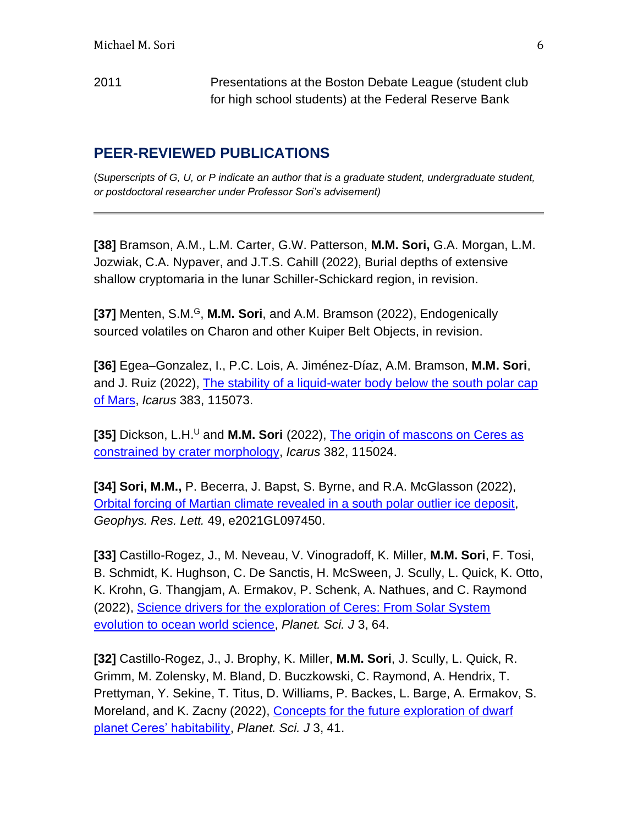2011 Presentations at the Boston Debate League (student club for high school students) at the Federal Reserve Bank

### **PEER-REVIEWED PUBLICATIONS**

(*Superscripts of G, U, or P indicate an author that is a graduate student, undergraduate student, or postdoctoral researcher under Professor Sori's advisement)*

**[38]** Bramson, A.M., L.M. Carter, G.W. Patterson, **M.M. Sori,** G.A. Morgan, L.M. Jozwiak, C.A. Nypaver, and J.T.S. Cahill (2022), Burial depths of extensive shallow cryptomaria in the lunar Schiller-Schickard region, in revision.

**[37]** Menten, S.M.<sup>G</sup>, **M.M. Sori**, and A.M. Bramson (2022), Endogenically sourced volatiles on Charon and other Kuiper Belt Objects, in revision.

**[36]** Egea–Gonzalez, I., P.C. Lois, A. Jiménez-Díaz, A.M. Bramson, **M.M. Sori**, and J. Ruiz (2022), [The stability of a liquid-water body below the south polar cap](https://www.sciencedirect.com/science/article/abs/pii/S001910352200183X)  [of Mars,](https://www.sciencedirect.com/science/article/abs/pii/S001910352200183X) *Icarus* 383, 115073.

**[35]** Dickson, L.H.<sup>U</sup> and **M.M. Sori** (2022), The origin of mascons on Ceres as [constrained by crater morphology,](https://www.sciencedirect.com/science/article/pii/S0019103522001373#bb0020) *Icarus* 382, 115024.

**[34] Sori, M.M.,** P. Becerra, J. Bapst, S. Byrne, and R.A. McGlasson (2022), [Orbital forcing of Martian climate revealed in a south polar outlier ice deposit,](https://agupubs.onlinelibrary.wiley.com/doi/10.1029/2021GL097450) *Geophys. Res. Lett.* 49, e2021GL097450.

**[33]** Castillo-Rogez, J., M. Neveau, V. Vinogradoff, K. Miller, **M.M. Sori**, F. Tosi, B. Schmidt, K. Hughson, C. De Sanctis, H. McSween, J. Scully, L. Quick, K. Otto, K. Krohn, G. Thangjam, A. Ermakov, P. Schenk, A. Nathues, and C. Raymond (2022), [Science drivers for the exploration of Ceres: From Solar System](https://iopscience.iop.org/article/10.3847/PSJ/ac502b)  [evolution to ocean world science,](https://iopscience.iop.org/article/10.3847/PSJ/ac502b) *Planet. Sci. J* 3, 64.

**[32]** Castillo-Rogez, J., J. Brophy, K. Miller, **M.M. Sori**, J. Scully, L. Quick, R. Grimm, M. Zolensky, M. Bland, D. Buczkowski, C. Raymond, A. Hendrix, T. Prettyman, Y. Sekine, T. Titus, D. Williams, P. Backes, L. Barge, A. Ermakov, S. Moreland, and K. Zacny (2022), [Concepts for the future exploration of dwarf](https://iopscience.iop.org/article/10.3847/PSJ/ac34ee)  [planet Ceres' habitability,](https://iopscience.iop.org/article/10.3847/PSJ/ac34ee) *Planet. Sci. J* 3, 41.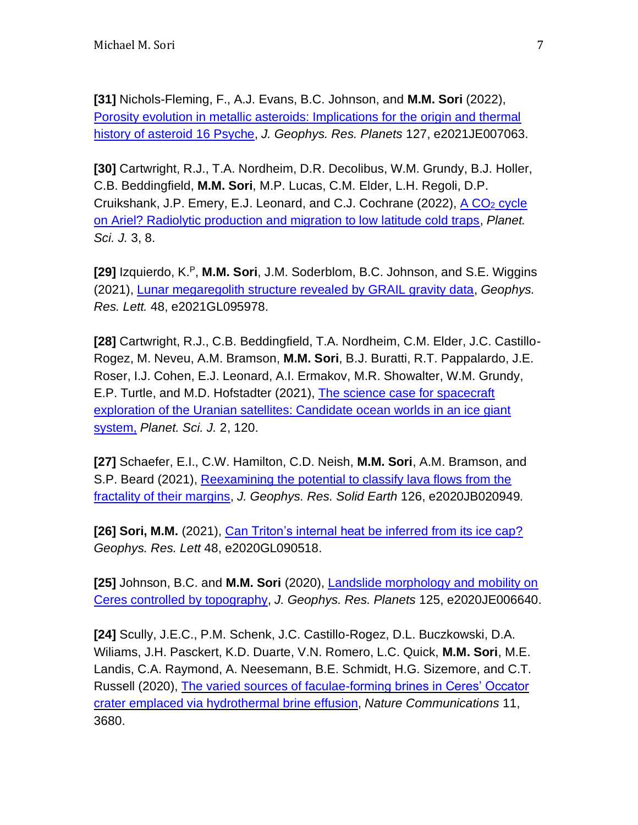**[31]** Nichols-Fleming, F., A.J. Evans, B.C. Johnson, and **M.M. Sori** (2022), [Porosity evolution in metallic asteroids: Implications for the origin and thermal](https://agupubs.onlinelibrary.wiley.com/doi/abs/10.1029/2021JE007063)  [history of asteroid 16](https://agupubs.onlinelibrary.wiley.com/doi/abs/10.1029/2021JE007063) Psyche, *J. Geophys. Res. Planets* 127, e2021JE007063.

**[30]** Cartwright, R.J., T.A. Nordheim, D.R. Decolibus, W.M. Grundy, B.J. Holler, C.B. Beddingfield, **M.M. Sori**, M.P. Lucas, C.M. Elder, L.H. Regoli, D.P. Cruikshank, J.P. Emery, E.J. Leonard, and C.J. Cochrane (2022), [A CO](https://iopscience.iop.org/article/10.3847/PSJ/ac3d30)<sub>2</sub> cycle [on Ariel? Radiolytic production and migration to low latitude cold traps,](https://iopscience.iop.org/article/10.3847/PSJ/ac3d30) *Planet. Sci. J.* 3, 8.

**[29]** Izquierdo, K.<sup>P</sup>, **M.M. Sori**, J.M. Soderblom, B.C. Johnson, and S.E. Wiggins (2021), [Lunar megaregolith structure revealed by GRAIL gravity data,](https://agupubs.onlinelibrary.wiley.com/doi/10.1029/2021GL095978) *Geophys. Res. Lett.* 48, e2021GL095978.

**[28]** Cartwright, R.J., C.B. Beddingfield, T.A. Nordheim, C.M. Elder, J.C. Castillo-Rogez, M. Neveu, A.M. Bramson, **M.M. Sori**, B.J. Buratti, R.T. Pappalardo, J.E. Roser, I.J. Cohen, E.J. Leonard, A.I. Ermakov, M.R. Showalter, W.M. Grundy, E.P. Turtle, and M.D. Hofstadter (2021), [The science case for spacecraft](https://iopscience.iop.org/article/10.3847/PSJ/abfe12)  [exploration of the Uranian satellites: Candidate ocean worlds in an ice giant](https://iopscience.iop.org/article/10.3847/PSJ/abfe12)  [system,](https://iopscience.iop.org/article/10.3847/PSJ/abfe12) *Planet. Sci. J.* 2, 120.

**[27]** Schaefer, E.I., C.W. Hamilton, C.D. Neish, **M.M. Sori**, A.M. Bramson, and S.P. Beard (2021), [Reexamining the potential to classify lava flows from the](https://agupubs.onlinelibrary.wiley.com/doi/abs/10.1029/2020JB020949)  [fractality of their margins,](https://agupubs.onlinelibrary.wiley.com/doi/abs/10.1029/2020JB020949) *J. Geophys. Res. Solid Earth* 126, e2020JB020949*.*

**[26] Sori, M.M.** (2021), [Can Triton's internal heat be](https://agupubs.onlinelibrary.wiley.com/doi/abs/10.1029/2020GL090518) inferred from its ice cap? *Geophys. Res. Lett* 48, e2020GL090518.

**[25]** Johnson, B.C. and **M.M. Sori** (2020), [Landslide morphology and mobility on](https://agupubs.onlinelibrary.wiley.com/doi/abs/10.1029/2020JE006640)  [Ceres controlled by topography,](https://agupubs.onlinelibrary.wiley.com/doi/abs/10.1029/2020JE006640) *J. Geophys. Res. Planets* 125, e2020JE006640.

**[24]** Scully, J.E.C., P.M. Schenk, J.C. Castillo-Rogez, D.L. Buczkowski, D.A. Wiliams, J.H. Pasckert, K.D. Duarte, V.N. Romero, L.C. Quick, **M.M. Sori**, M.E. Landis, C.A. Raymond, A. Neesemann, B.E. Schmidt, H.G. Sizemore, and C.T. Russell (2020), [The varied sources of faculae-forming brines in Ceres' Occator](https://www.nature.com/articles/s41467-020-15973-8)  [crater emplaced via](https://www.nature.com/articles/s41467-020-15973-8) hydrothermal brine effusion, *Nature Communications* 11, 3680.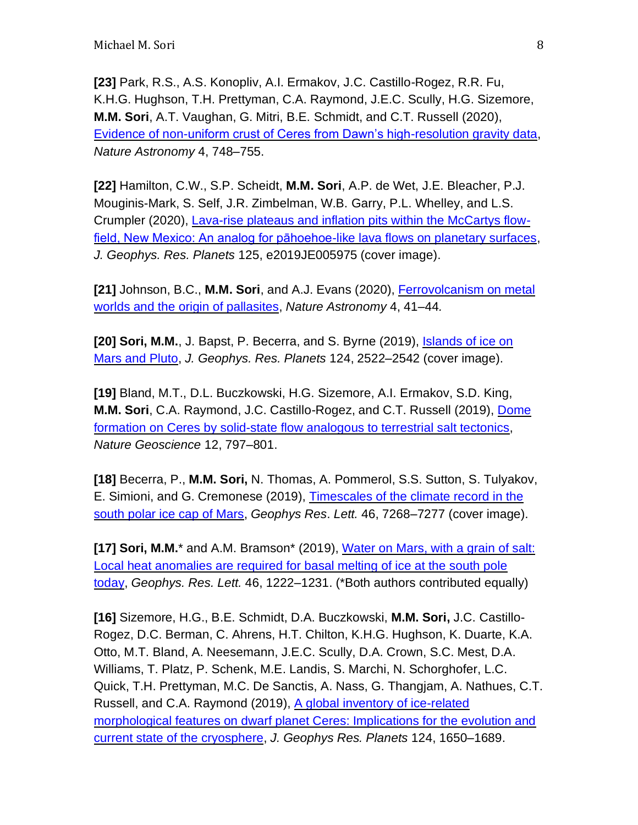**[23]** Park, R.S., A.S. Konopliv, A.I. Ermakov, J.C. Castillo-Rogez, R.R. Fu, K.H.G. Hughson, T.H. Prettyman, C.A. Raymond, J.E.C. Scully, H.G. Sizemore, **M.M. Sori**, A.T. Vaughan, G. Mitri, B.E. Schmidt, and C.T. Russell (2020), [Evidence of non-uniform crust of Ceres from Dawn's high-resolution gravity data,](https://www.nature.com/articles/s41550-020-1019-1) *Nature Astronomy* 4, 748–755.

**[22]** Hamilton, C.W., S.P. Scheidt, **M.M. Sori**, A.P. de Wet, J.E. Bleacher, P.J. Mouginis-Mark, S. Self, J.R. Zimbelman, W.B. Garry, P.L. Whelley, and L.S. Crumpler (2020), [Lava-rise plateaus and inflation pits within the McCartys flow](https://agupubs.onlinelibrary.wiley.com/doi/abs/10.1029/2019JE005975)[field, New Mexico: An analog for pāhoehoe-like lava flows on planetary surfaces,](https://agupubs.onlinelibrary.wiley.com/doi/abs/10.1029/2019JE005975) *J. Geophys. Res. Planets* 125, e2019JE005975 (cover image).

**[21]** Johnson, B.C., **M.M. Sori**, and A.J. Evans (2020), [Ferrovolcanism on metal](https://www.nature.com/articles/s41550-019-0885-x)  [worlds and the origin of pallasites,](https://www.nature.com/articles/s41550-019-0885-x) *Nature Astronomy* 4, 41–44*.*

**[20] Sori, M.M.**, J. Bapst, P. Becerra, and S. Byrne (2019), [Islands of ice on](https://agupubs.onlinelibrary.wiley.com/doi/abs/10.1029/2018JE005861)  [Mars and Pluto,](https://agupubs.onlinelibrary.wiley.com/doi/abs/10.1029/2018JE005861) *J. Geophys. Res. Planets* 124, 2522–2542 (cover image).

**[19]** Bland, M.T., D.L. Buczkowski, H.G. Sizemore, A.I. Ermakov, S.D. King, **M.M. Sori**, C.A. Raymond, J.C. Castillo-Rogez, and C.T. Russell (2019), [Dome](https://www.nature.com/articles/s41561-019-0453-0)  formation on Ceres [by solid-state flow analogous to terrestrial salt tectonics,](https://www.nature.com/articles/s41561-019-0453-0) *Nature Geoscience* 12, 797–801.

**[18]** Becerra, P., **M.M. Sori,** N. Thomas, A. Pommerol, S.S. Sutton, S. Tulyakov, E. Simioni, and G. Cremonese (2019), [Timescales of the climate record in the](https://agupubs.onlinelibrary.wiley.com/doi/abs/10.1029/2019GL083588?af=R)  [south polar ice cap of Mars,](https://agupubs.onlinelibrary.wiley.com/doi/abs/10.1029/2019GL083588?af=R) *Geophys Res*. *Lett.* 46, 7268–7277 (cover image).

**[17] Sori, M.M.**\* and A.M. Bramson\* (2019), [Water on Mars, with a grain of salt:](https://agupubs.onlinelibrary.wiley.com/doi/full/10.1029/2018GL080985)  [Local heat anomalies are required for basal melting of ice at the south pole](https://agupubs.onlinelibrary.wiley.com/doi/full/10.1029/2018GL080985)  [today,](https://agupubs.onlinelibrary.wiley.com/doi/full/10.1029/2018GL080985) *Geophys. Res. Lett.* 46, 1222–1231. (\*Both authors contributed equally)

**[16]** Sizemore, H.G., B.E. Schmidt, D.A. Buczkowski, **M.M. Sori,** J.C. Castillo-Rogez, D.C. Berman, C. Ahrens, H.T. Chilton, K.H.G. Hughson, K. Duarte, K.A. Otto, M.T. Bland, A. Neesemann, J.E.C. Scully, D.A. Crown, S.C. Mest, D.A. Williams, T. Platz, P. Schenk, M.E. Landis, S. Marchi, N. Schorghofer, L.C. Quick, T.H. Prettyman, M.C. De Sanctis, A. Nass, G. Thangjam, A. Nathues, C.T. Russell, and C.A. Raymond (2019), A global inventory of ice-related [morphological features on dwarf planet Ceres: Implications for the evolution and](https://agupubs.onlinelibrary.wiley.com/doi/abs/10.1029/2018JE005699)  [current state of the cryosphere,](https://agupubs.onlinelibrary.wiley.com/doi/abs/10.1029/2018JE005699) *J. Geophys Res. Planets* 124, 1650–1689.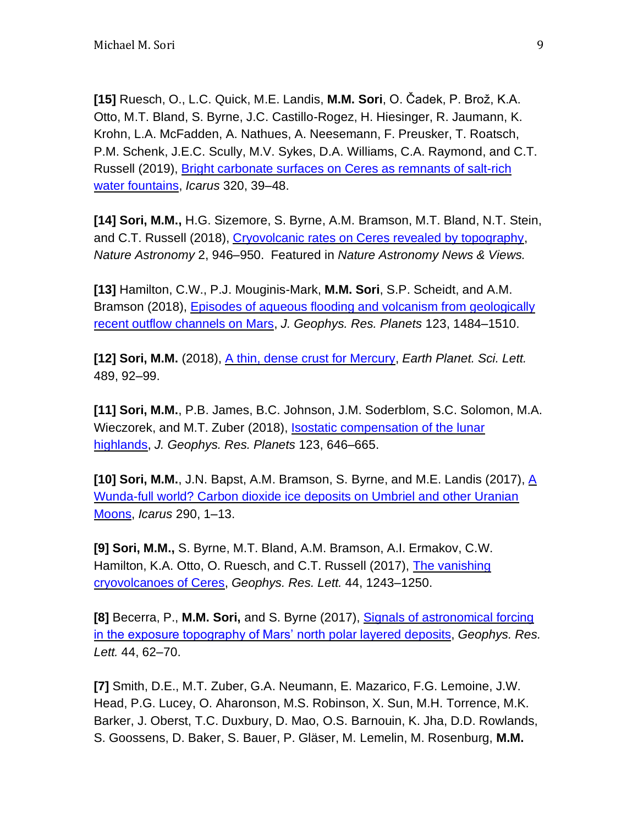**[15]** Ruesch, O., L.C. Quick, M.E. Landis, **M.M. Sori**, O. Čadek, P. Brož, K.A. Otto, M.T. Bland, S. Byrne, J.C. Castillo-Rogez, H. Hiesinger, R. Jaumann, K. Krohn, L.A. McFadden, A. Nathues, A. Neesemann, F. Preusker, T. Roatsch, P.M. Schenk, J.E.C. Scully, M.V. Sykes, D.A. Williams, C.A. Raymond, and C.T. Russell (2019), [Bright carbonate surfaces on Ceres as remnants of salt-rich](https://www.sciencedirect.com/science/article/pii/S0019103517306218)  [water fountains,](https://www.sciencedirect.com/science/article/pii/S0019103517306218) *Icarus* 320, 39–48.

**[14] Sori, M.M.,** H.G. Sizemore, S. Byrne, A.M. Bramson, M.T. Bland, N.T. Stein, and C.T. Russell (2018), [Cryovolcanic rates on Ceres revealed by topography,](https://www.nature.com/articles/s41550-018-0574-1.pdf) *Nature Astronomy* 2, 946–950. Featured in *Nature Astronomy News & Views.*

**[13]** Hamilton, C.W., P.J. Mouginis-Mark, **M.M. Sori**, S.P. Scheidt, and A.M. Bramson (2018), [Episodes of aqueous flooding and volcanism from geologically](https://agupubs.onlinelibrary.wiley.com/doi/10.1029/2018JE005543)  [recent outflow channels on Mars,](https://agupubs.onlinelibrary.wiley.com/doi/10.1029/2018JE005543) *J. Geophys. Res. Planets* 123, 1484–1510.

**[12] Sori, M.M.** (2018), [A thin, dense crust for Mercury,](https://www.sciencedirect.com/science/article/pii/S0012821X18300955) *Earth Planet. Sci. Lett.* 489, 92–99.

**[11] Sori, M.M.**, P.B. James, B.C. Johnson, J.M. Soderblom, S.C. Solomon, M.A. Wieczorek, and M.T. Zuber (2018), [Isostatic compensation of the lunar](https://agupubs.onlinelibrary.wiley.com/doi/full/10.1002/2017JE005362)  [highlands,](https://agupubs.onlinelibrary.wiley.com/doi/full/10.1002/2017JE005362) *J. Geophys. Res. Planets* 123, 646–665.

**[10] Sori, M.M.**, J.N. Bapst, A.M. Bramson, S. Byrne, and M.E. Landis (2017), [A](https://www.sciencedirect.com/science/article/pii/S0019103516303050)  [Wunda-full world? Carbon dioxide ice deposits on Umbriel and other Uranian](https://www.sciencedirect.com/science/article/pii/S0019103516303050)  [Moons,](https://www.sciencedirect.com/science/article/pii/S0019103516303050) *Icarus* 290, 1–13.

**[9] Sori, M.M.,** S. Byrne, M.T. Bland, A.M. Bramson, A.I. Ermakov, C.W. Hamilton, K.A. Otto, O. Ruesch, and C.T. Russell (2017), [The vanishing](https://agupubs.onlinelibrary.wiley.com/doi/abs/10.1002/2016GL072319)  [cryovolcanoes of Ceres,](https://agupubs.onlinelibrary.wiley.com/doi/abs/10.1002/2016GL072319) *Geophys. Res. Lett.* 44, 1243–1250.

**[8]** Becerra, P., **M.M. Sori,** and S. Byrne (2017), [Signals of astronomical forcing](https://agupubs.onlinelibrary.wiley.com/doi/full/10.1002/2016GL071197)  [in the exposure topography of Mars'](https://agupubs.onlinelibrary.wiley.com/doi/full/10.1002/2016GL071197) north polar layered deposits, *Geophys. Res. Lett.* 44, 62–70.

**[7]** Smith, D.E., M.T. Zuber, G.A. Neumann, E. Mazarico, F.G. Lemoine, J.W. Head, P.G. Lucey, O. Aharonson, M.S. Robinson, X. Sun, M.H. Torrence, M.K. Barker, J. Oberst, T.C. Duxbury, D. Mao, O.S. Barnouin, K. Jha, D.D. Rowlands, S. Goossens, D. Baker, S. Bauer, P. Gläser, M. Lemelin, M. Rosenburg, **M.M.**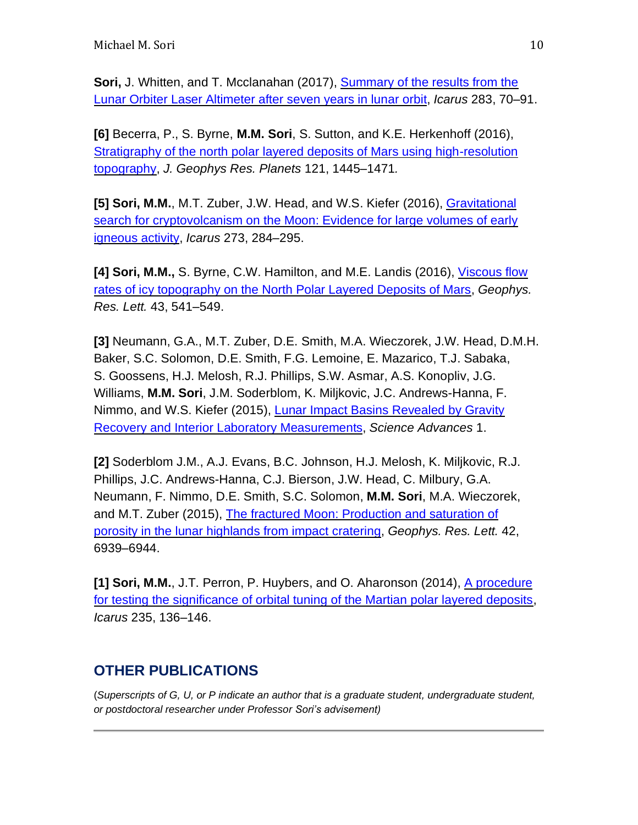**Sori, J. Whitten, and T. Mcclanahan (2017), Summary of the results from the** [Lunar Orbiter Laser Altimeter after seven years in lunar orbit,](https://www.sciencedirect.com/science/article/pii/S0019103516302810) *Icarus* 283, 70–91.

**[6]** Becerra, P., S. Byrne, **M.M. Sori**, S. Sutton, and K.E. Herkenhoff (2016), [Stratigraphy of the north polar layered deposits of Mars using high-resolution](https://agupubs.onlinelibrary.wiley.com/doi/abs/10.1002/2015JE004992)  [topography,](https://agupubs.onlinelibrary.wiley.com/doi/abs/10.1002/2015JE004992) *J. Geophys Res. Planets* 121, 1445–1471*.*

**[5] Sori, M.M.**, M.T. Zuber, J.W. Head, and W.S. Kiefer (2016), [Gravitational](https://www.sciencedirect.com/science/article/pii/S0019103516000683)  [search for cryptovolcanism on the Moon: Evidence for large volumes of early](https://www.sciencedirect.com/science/article/pii/S0019103516000683)  [igneous activity,](https://www.sciencedirect.com/science/article/pii/S0019103516000683) *Icarus* 273, 284–295.

**[4] Sori, M.M.,** S. Byrne, C.W. Hamilton, and M.E. Landis (2016), [Viscous flow](https://agupubs.onlinelibrary.wiley.com/doi/full/10.1002/2015GL067298)  [rates of icy topography on the North Polar Layered Deposits of Mars,](https://agupubs.onlinelibrary.wiley.com/doi/full/10.1002/2015GL067298) *Geophys. Res. Lett.* 43, 541–549.

**[3]** Neumann, G.A., M.T. Zuber, D.E. Smith, M.A. Wieczorek, J.W. Head, D.M.H. Baker, S.C. Solomon, D.E. Smith, F.G. Lemoine, E. Mazarico, T.J. Sabaka, S. Goossens, H.J. Melosh, R.J. Phillips, S.W. Asmar, A.S. Konopliv, J.G. Williams, **M.M. Sori**, J.M. Soderblom, K. Miljkovic, J.C. Andrews-Hanna, F. Nimmo, and W.S. Kiefer (2015), [Lunar Impact Basins Revealed by Gravity](http://advances.sciencemag.org/content/1/9/e1500852)  [Recovery and Interior Laboratory Measurements,](http://advances.sciencemag.org/content/1/9/e1500852) *Science Advances* 1.

**[2]** Soderblom J.M., A.J. Evans, B.C. Johnson, H.J. Melosh, K. Miljkovic, R.J. Phillips, J.C. Andrews-Hanna, C.J. Bierson, J.W. Head, C. Milbury, G.A. Neumann, F. Nimmo, D.E. Smith, S.C. Solomon, **M.M. Sori**, M.A. Wieczorek, and M.T. Zuber (2015), [The fractured Moon: Production and saturation of](https://agupubs.onlinelibrary.wiley.com/doi/abs/10.1002/2015GL065022)  [porosity in the lunar highlands from impact cratering,](https://agupubs.onlinelibrary.wiley.com/doi/abs/10.1002/2015GL065022) *Geophys. Res. Lett.* 42, 6939–6944.

**[1] Sori, M.M.**, J.T. Perron, P. Huybers, and O. Aharonson (2014), [A procedure](https://www.sciencedirect.com/science/article/pii/S0019103514001316)  [for testing the significance of orbital tuning of the Martian polar layered deposits,](https://www.sciencedirect.com/science/article/pii/S0019103514001316) *Icarus* 235, 136–146.

# **OTHER PUBLICATIONS**

(*Superscripts of G, U, or P indicate an author that is a graduate student, undergraduate student, or postdoctoral researcher under Professor Sori's advisement)*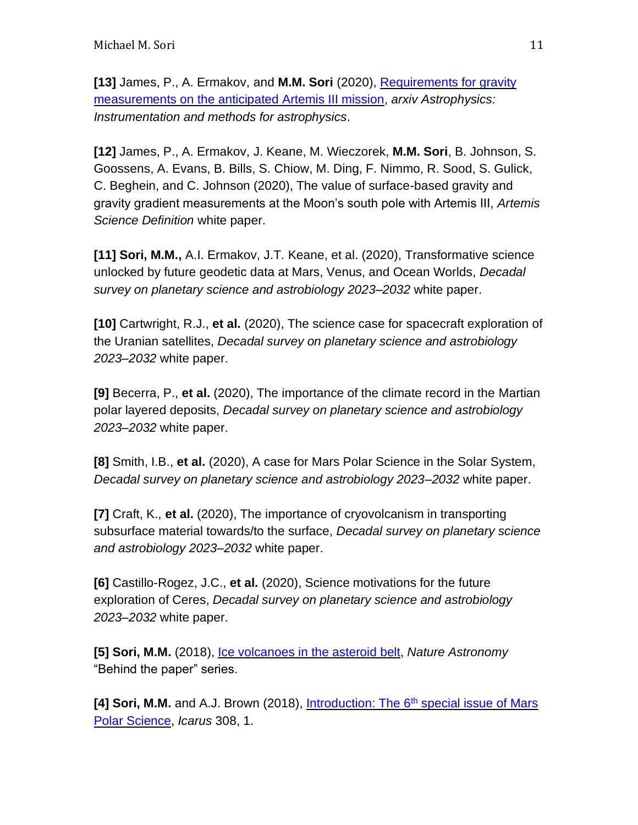**[13]** James, P., A. Ermakov, and **M.M. Sori** (2020), [Requirements for gravity](https://arxiv.org/abs/2009.03514)  [measurements on the anticipated Artemis III mission,](https://arxiv.org/abs/2009.03514) *arxiv Astrophysics: Instrumentation and methods for astrophysics*.

**[12]** James, P., A. Ermakov, J. Keane, M. Wieczorek, **M.M. Sori**, B. Johnson, S. Goossens, A. Evans, B. Bills, S. Chiow, M. Ding, F. Nimmo, R. Sood, S. Gulick, C. Beghein, and C. Johnson (2020), The value of surface-based gravity and gravity gradient measurements at the Moon's south pole with Artemis III, *Artemis Science Definition* white paper.

**[11] Sori, M.M.,** A.I. Ermakov, J.T. Keane, et al. (2020), Transformative science unlocked by future geodetic data at Mars, Venus, and Ocean Worlds, *Decadal survey on planetary science and astrobiology 2023–2032* white paper.

**[10]** Cartwright, R.J., **et al.** (2020), The science case for spacecraft exploration of the Uranian satellites, *Decadal survey on planetary science and astrobiology 2023–2032* white paper.

**[9]** Becerra, P., **et al.** (2020), The importance of the climate record in the Martian polar layered deposits, *Decadal survey on planetary science and astrobiology 2023–2032* white paper.

**[8]** Smith, I.B., **et al.** (2020), A case for Mars Polar Science in the Solar System, *Decadal survey on planetary science and astrobiology 2023–2032* white paper.

**[7]** Craft, K., **et al.** (2020), The importance of cryovolcanism in transporting subsurface material towards/to the surface, *Decadal survey on planetary science and astrobiology 2023–2032* white paper.

**[6]** Castillo-Rogez, J.C., **et al.** (2020), Science motivations for the future exploration of Ceres, *Decadal survey on planetary science and astrobiology 2023–2032* white paper.

**[5] Sori, M.M.** (2018), [Ice volcanoes in the asteroid belt,](https://astronomycommunity.nature.com/channels/1490-behind-the-paper/posts/38925-ice-volcanoes-in-the-asteroid-belt) *Nature Astronomy* "Behind the paper" series.

**[4] Sori, M.M.** and A.J. Brown (2018), Introduction: The 6<sup>th</sup> special issue of Mars [Polar Science,](https://www.sciencedirect.com/science/article/pii/S0019103518302215) *Icarus* 308, 1.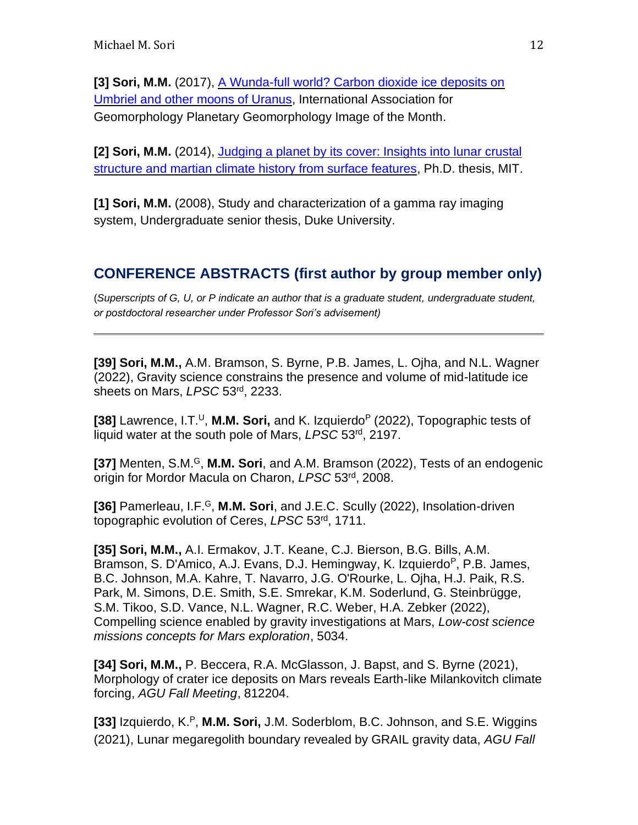[3] Sori, M.M. (2017), A Wunda-full world? Carbon dioxide ice deposits on [Umbriel and other moons of Uranus,](https://planetarygeomorphology.wordpress.com/2017/09/29/a-wunda-full-world-carbon-dioxide-ice-deposits-on-umbriel-and-other-moons-of-uranus/) International Association for Geomorphology Planetary Geomorphology Image of the Month.

**[2] Sori, M.M.** (2014), [Judging a planet by its cover: Insights into lunar crustal](https://dspace.mit.edu/handle/1721.1/95557)  [structure and martian climate history from surface features,](https://dspace.mit.edu/handle/1721.1/95557) Ph.D. thesis, MIT.

**[1] Sori, M.M.** (2008), Study and characterization of a gamma ray imaging system, Undergraduate senior thesis, Duke University.

### **CONFERENCE ABSTRACTS (first author by group member only)**

(*Superscripts of G, U, or P indicate an author that is a graduate student, undergraduate student, or postdoctoral researcher under Professor Sori's advisement)*

**[39] Sori, M.M.,** A.M. Bramson, S. Byrne, P.B. James, L. Ojha, and N.L. Wagner (2022), Gravity science constrains the presence and volume of mid-latitude ice sheets on Mars, *LPSC* 53rd, 2233.

**[38]** Lawrence, I.T.<sup>U</sup>, **M.M. Sori,** and K. Izquierdo<sup>P</sup> (2022), Topographic tests of liquid water at the south pole of Mars, *LPSC* 53rd, 2197.

**[37]** Menten, S.M.<sup>G</sup>, **M.M. Sori**, and A.M. Bramson (2022), Tests of an endogenic origin for Mordor Macula on Charon, *LPSC* 53rd, 2008.

**[36] Pamerleau, I.F.<sup>G</sup>, M.M. Sori, and J.E.C. Scully (2022), Insolation-driven** topographic evolution of Ceres, *LPSC* 53rd, 1711.

**[35] Sori, M.M.,** A.I. Ermakov, J.T. Keane, C.J. Bierson, B.G. Bills, A.M. Bramson, S. D'Amico, A.J. Evans, D.J. Hemingway, K. Izquierdo<sup>P</sup>, P.B. James, B.C. Johnson, M.A. Kahre, T. Navarro, J.G. O'Rourke, L. Ojha, H.J. Paik, R.S. Park, M. Simons, D.E. Smith, S.E. Smrekar, K.M. Soderlund, G. Steinbrügge, S.M. Tikoo, S.D. Vance, N.L. Wagner, R.C. Weber, H.A. Zebker (2022), Compelling science enabled by gravity investigations at Mars, *Low-cost science missions concepts for Mars exploration*, 5034.

**[34] Sori, M.M.,** P. Beccera, R.A. McGlasson, J. Bapst, and S. Byrne (2021), Morphology of crater ice deposits on Mars reveals Earth-like Milankovitch climate forcing, *AGU Fall Meeting*, 812204.

**[33]** Izquierdo, K.<sup>P</sup>, **M.M. Sori,** J.M. Soderblom, B.C. Johnson, and S.E. Wiggins (2021), Lunar megaregolith boundary revealed by GRAIL gravity data, *AGU Fall*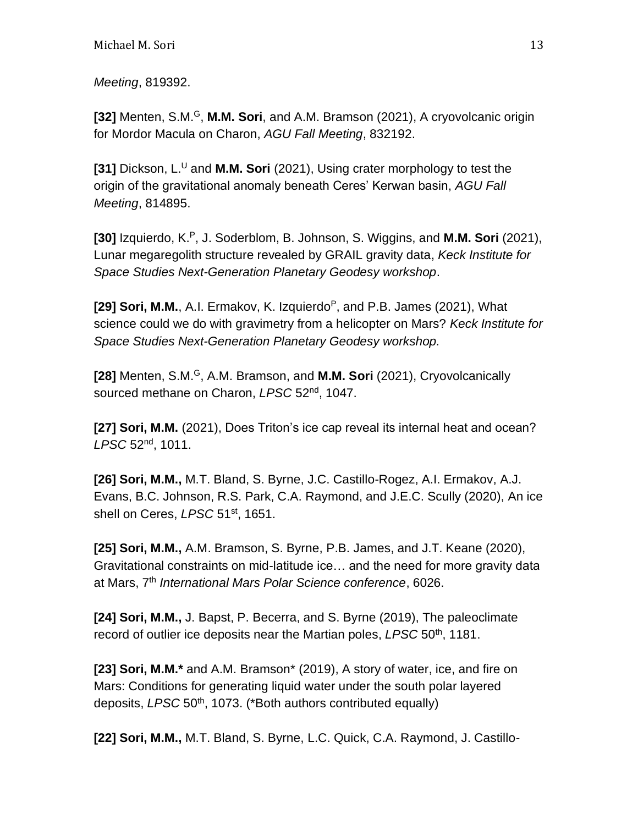*Meeting*, 819392.

**[32]** Menten, S.M.<sup>G</sup>, **M.M. Sori**, and A.M. Bramson (2021), A cryovolcanic origin for Mordor Macula on Charon, *AGU Fall Meeting*, 832192.

**[31]** Dickson, L.<sup>U</sup> and **M.M. Sori** (2021), Using crater morphology to test the origin of the gravitational anomaly beneath Ceres' Kerwan basin, *AGU Fall Meeting*, 814895.

**[30]** Izquierdo, K.<sup>P</sup>, J. Soderblom, B. Johnson, S. Wiggins, and **M.M. Sori** (2021), Lunar megaregolith structure revealed by GRAIL gravity data, *Keck Institute for Space Studies Next-Generation Planetary Geodesy workshop*.

**[29] Sori, M.M.,** A.I. Ermakov, K. Izquierdo<sup>P</sup>, and P.B. James (2021), What science could we do with gravimetry from a helicopter on Mars? *Keck Institute for Space Studies Next-Generation Planetary Geodesy workshop.*

**[28]** Menten, S.M.<sup>G</sup>, A.M. Bramson, and **M.M. Sori** (2021), Cryovolcanically sourced methane on Charon, *LPSC* 52nd, 1047.

**[27] Sori, M.M.** (2021), Does Triton's ice cap reveal its internal heat and ocean? *LPSC* 52nd, 1011.

**[26] Sori, M.M.,** M.T. Bland, S. Byrne, J.C. Castillo-Rogez, A.I. Ermakov, A.J. Evans, B.C. Johnson, R.S. Park, C.A. Raymond, and J.E.C. Scully (2020), An ice shell on Ceres, *LPSC* 51st, 1651.

**[25] Sori, M.M.,** A.M. Bramson, S. Byrne, P.B. James, and J.T. Keane (2020), Gravitational constraints on mid-latitude ice… and the need for more gravity data at Mars, 7th *International Mars Polar Science conference*, 6026.

**[24] Sori, M.M.,** J. Bapst, P. Becerra, and S. Byrne (2019), The paleoclimate record of outlier ice deposits near the Martian poles, *LPSC* 50th, 1181.

**[23] Sori, M.M.\*** and A.M. Bramson\* (2019), A story of water, ice, and fire on Mars: Conditions for generating liquid water under the south polar layered deposits, *LPSC* 50th, 1073. (\*Both authors contributed equally)

**[22] Sori, M.M.,** M.T. Bland, S. Byrne, L.C. Quick, C.A. Raymond, J. Castillo-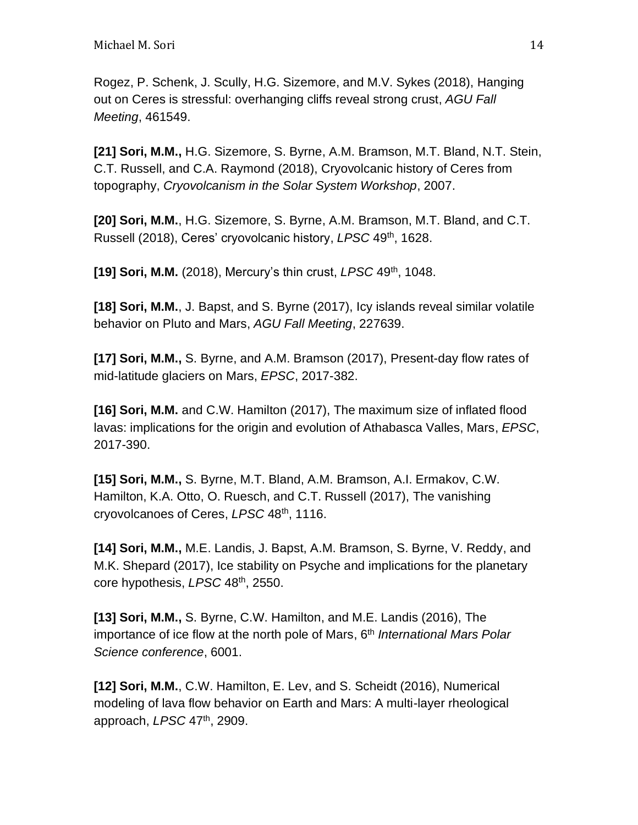Rogez, P. Schenk, J. Scully, H.G. Sizemore, and M.V. Sykes (2018), Hanging out on Ceres is stressful: overhanging cliffs reveal strong crust, *AGU Fall Meeting*, 461549.

**[21] Sori, M.M.,** H.G. Sizemore, S. Byrne, A.M. Bramson, M.T. Bland, N.T. Stein, C.T. Russell, and C.A. Raymond (2018), Cryovolcanic history of Ceres from topography, *Cryovolcanism in the Solar System Workshop*, 2007.

**[20] Sori, M.M.**, H.G. Sizemore, S. Byrne, A.M. Bramson, M.T. Bland, and C.T. Russell (2018), Ceres' cryovolcanic history, *LPSC* 49th, 1628.

**[19] Sori, M.M.** (2018), Mercury's thin crust, *LPSC* 49th , 1048.

**[18] Sori, M.M.**, J. Bapst, and S. Byrne (2017), Icy islands reveal similar volatile behavior on Pluto and Mars, *AGU Fall Meeting*, 227639.

**[17] Sori, M.M.,** S. Byrne, and A.M. Bramson (2017), Present-day flow rates of mid-latitude glaciers on Mars, *EPSC*, 2017-382.

**[16] Sori, M.M.** and C.W. Hamilton (2017), The maximum size of inflated flood lavas: implications for the origin and evolution of Athabasca Valles, Mars, *EPSC*, 2017-390.

**[15] Sori, M.M.,** S. Byrne, M.T. Bland, A.M. Bramson, A.I. Ermakov, C.W. Hamilton, K.A. Otto, O. Ruesch, and C.T. Russell (2017), The vanishing cryovolcanoes of Ceres, *LPSC* 48th, 1116.

**[14] Sori, M.M.,** M.E. Landis, J. Bapst, A.M. Bramson, S. Byrne, V. Reddy, and M.K. Shepard (2017), Ice stability on Psyche and implications for the planetary core hypothesis, *LPSC* 48th, 2550.

**[13] Sori, M.M.,** S. Byrne, C.W. Hamilton, and M.E. Landis (2016), The importance of ice flow at the north pole of Mars, 6<sup>th</sup> *International Mars Polar Science conference*, 6001.

**[12] Sori, M.M.**, C.W. Hamilton, E. Lev, and S. Scheidt (2016), Numerical modeling of lava flow behavior on Earth and Mars: A multi-layer rheological approach, *LPSC* 47th, 2909.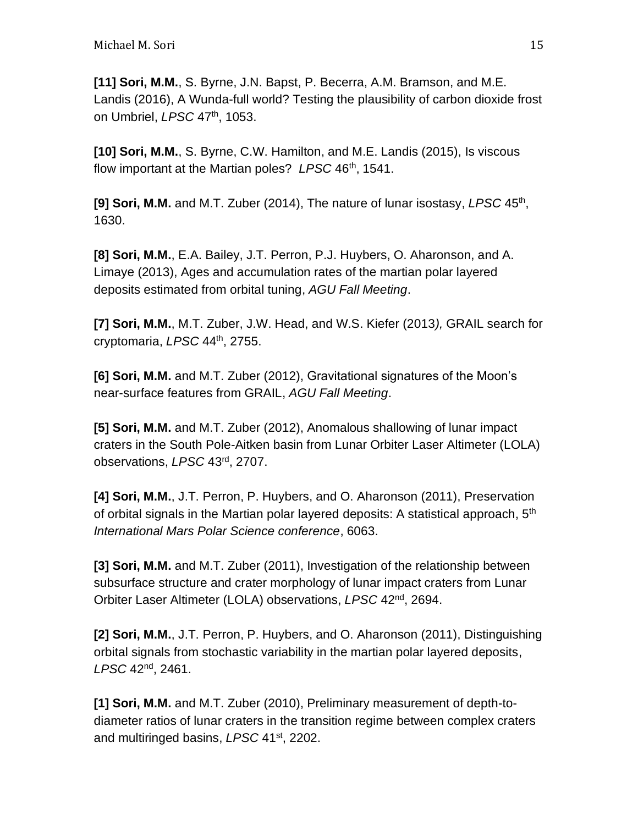**[11] Sori, M.M.**, S. Byrne, J.N. Bapst, P. Becerra, A.M. Bramson, and M.E. Landis (2016), A Wunda-full world? Testing the plausibility of carbon dioxide frost on Umbriel, *LPSC* 47th, 1053.

**[10] Sori, M.M.**, S. Byrne, C.W. Hamilton, and M.E. Landis (2015), Is viscous flow important at the Martian poles? *LPSC* 46th, 1541.

[9] Sori, M.M. and M.T. Zuber (2014), The nature of lunar isostasy, LPSC 45<sup>th</sup>, 1630.

**[8] Sori, M.M.**, E.A. Bailey, J.T. Perron, P.J. Huybers, O. Aharonson, and A. Limaye (2013), Ages and accumulation rates of the martian polar layered deposits estimated from orbital tuning, *AGU Fall Meeting*.

**[7] Sori, M.M.**, M.T. Zuber, J.W. Head, and W.S. Kiefer (2013*),* GRAIL search for cryptomaria, *LPSC* 44th, 2755.

**[6] Sori, M.M.** and M.T. Zuber (2012), Gravitational signatures of the Moon's near-surface features from GRAIL, *AGU Fall Meeting*.

**[5] Sori, M.M.** and M.T. Zuber (2012), Anomalous shallowing of lunar impact craters in the South Pole-Aitken basin from Lunar Orbiter Laser Altimeter (LOLA) observations, *LPSC* 43rd , 2707.

**[4] Sori, M.M.**, J.T. Perron, P. Huybers, and O. Aharonson (2011), Preservation of orbital signals in the Martian polar layered deposits: A statistical approach, 5<sup>th</sup> *International Mars Polar Science conference*, 6063.

**[3] Sori, M.M.** and M.T. Zuber (2011), Investigation of the relationship between subsurface structure and crater morphology of lunar impact craters from Lunar Orbiter Laser Altimeter (LOLA) observations, *LPSC* 42nd, 2694.

**[2] Sori, M.M.**, J.T. Perron, P. Huybers, and O. Aharonson (2011), Distinguishing orbital signals from stochastic variability in the martian polar layered deposits, *LPSC* 42nd, 2461.

**[1] Sori, M.M.** and M.T. Zuber (2010), Preliminary measurement of depth-todiameter ratios of lunar craters in the transition regime between complex craters and multiringed basins, *LPSC* 41st, 2202.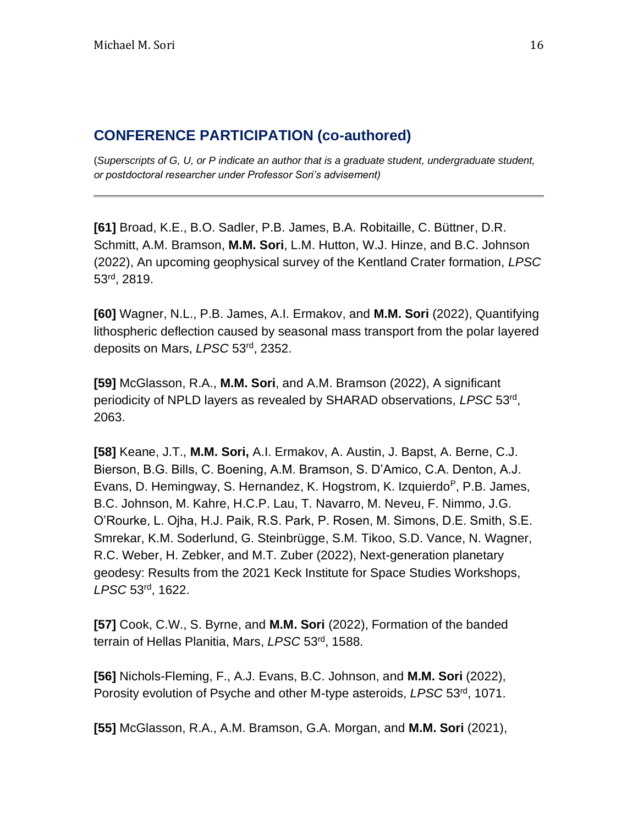### **CONFERENCE PARTICIPATION (co-authored)**

(*Superscripts of G, U, or P indicate an author that is a graduate student, undergraduate student, or postdoctoral researcher under Professor Sori's advisement)*

**[61]** Broad, K.E., B.O. Sadler, P.B. James, B.A. Robitaille, C. Büttner, D.R. Schmitt, A.M. Bramson, **M.M. Sori**, L.M. Hutton, W.J. Hinze, and B.C. Johnson (2022), An upcoming geophysical survey of the Kentland Crater formation, *LPSC*  53rd, 2819.

**[60]** Wagner, N.L., P.B. James, A.I. Ermakov, and **M.M. Sori** (2022), Quantifying lithospheric deflection caused by seasonal mass transport from the polar layered deposits on Mars, *LPSC* 53rd, 2352.

**[59]** McGlasson, R.A., **M.M. Sori**, and A.M. Bramson (2022), A significant periodicity of NPLD layers as revealed by SHARAD observations, *LPSC* 53rd , 2063.

**[58]** Keane, J.T., **M.M. Sori,** A.I. Ermakov, A. Austin, J. Bapst, A. Berne, C.J. Bierson, B.G. Bills, C. Boening, A.M. Bramson, S. D'Amico, C.A. Denton, A.J. Evans, D. Hemingway, S. Hernandez, K. Hogstrom, K. Izquierdo<sup>p</sup>, P.B. James, B.C. Johnson, M. Kahre, H.C.P. Lau, T. Navarro, M. Neveu, F. Nimmo, J.G. O'Rourke, L. Ojha, H.J. Paik, R.S. Park, P. Rosen, M. Simons, D.E. Smith, S.E. Smrekar, K.M. Soderlund, G. Steinbrügge, S.M. Tikoo, S.D. Vance, N. Wagner, R.C. Weber, H. Zebker, and M.T. Zuber (2022), Next-generation planetary geodesy: Results from the 2021 Keck Institute for Space Studies Workshops, *LPSC* 53rd, 1622.

**[57]** Cook, C.W., S. Byrne, and **M.M. Sori** (2022), Formation of the banded terrain of Hellas Planitia, Mars, *LPSC* 53rd , 1588.

**[56]** Nichols-Fleming, F., A.J. Evans, B.C. Johnson, and **M.M. Sori** (2022), Porosity evolution of Psyche and other M-type asteroids, *LPSC* 53rd, 1071.

**[55]** McGlasson, R.A., A.M. Bramson, G.A. Morgan, and **M.M. Sori** (2021),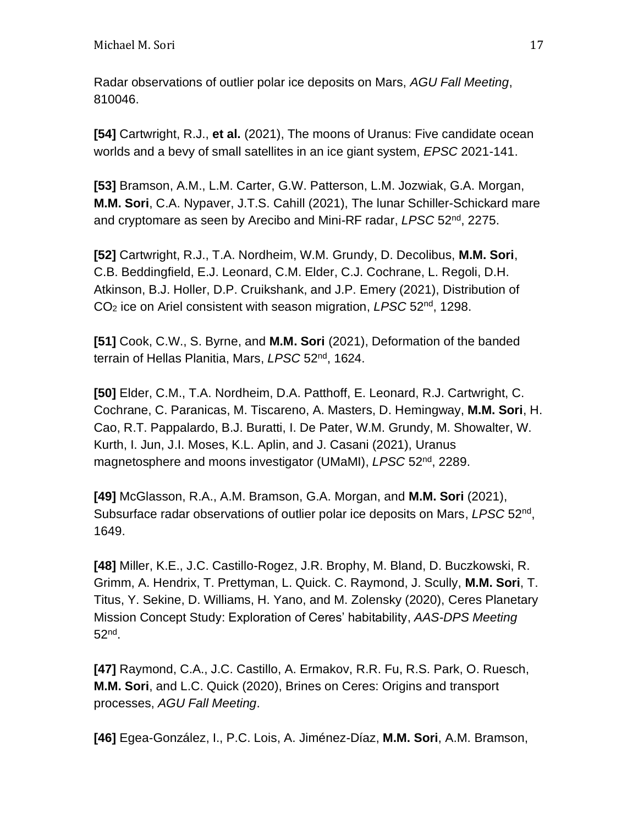Radar observations of outlier polar ice deposits on Mars, *AGU Fall Meeting*, 810046.

**[54]** Cartwright, R.J., **et al.** (2021), The moons of Uranus: Five candidate ocean worlds and a bevy of small satellites in an ice giant system, *EPSC* 2021-141.

**[53]** Bramson, A.M., L.M. Carter, G.W. Patterson, L.M. Jozwiak, G.A. Morgan, **M.M. Sori**, C.A. Nypaver, J.T.S. Cahill (2021), The lunar Schiller-Schickard mare and cryptomare as seen by Arecibo and Mini-RF radar, *LPSC* 52nd, 2275.

**[52]** Cartwright, R.J., T.A. Nordheim, W.M. Grundy, D. Decolibus, **M.M. Sori**, C.B. Beddingfield, E.J. Leonard, C.M. Elder, C.J. Cochrane, L. Regoli, D.H. Atkinson, B.J. Holler, D.P. Cruikshank, and J.P. Emery (2021), Distribution of CO<sup>2</sup> ice on Ariel consistent with season migration, *LPSC* 52nd, 1298.

**[51]** Cook, C.W., S. Byrne, and **M.M. Sori** (2021), Deformation of the banded terrain of Hellas Planitia, Mars, *LPSC* 52nd, 1624.

**[50]** Elder, C.M., T.A. Nordheim, D.A. Patthoff, E. Leonard, R.J. Cartwright, C. Cochrane, C. Paranicas, M. Tiscareno, A. Masters, D. Hemingway, **M.M. Sori**, H. Cao, R.T. Pappalardo, B.J. Buratti, I. De Pater, W.M. Grundy, M. Showalter, W. Kurth, I. Jun, J.I. Moses, K.L. Aplin, and J. Casani (2021), Uranus magnetosphere and moons investigator (UMaMI), *LPSC* 52nd, 2289.

**[49]** McGlasson, R.A., A.M. Bramson, G.A. Morgan, and **M.M. Sori** (2021), Subsurface radar observations of outlier polar ice deposits on Mars, *LPSC* 52nd , 1649.

**[48]** Miller, K.E., J.C. Castillo-Rogez, J.R. Brophy, M. Bland, D. Buczkowski, R. Grimm, A. Hendrix, T. Prettyman, L. Quick. C. Raymond, J. Scully, **M.M. Sori**, T. Titus, Y. Sekine, D. Williams, H. Yano, and M. Zolensky (2020), Ceres Planetary Mission Concept Study: Exploration of Ceres' habitability, *AAS-DPS Meeting* 52nd .

**[47]** Raymond, C.A., J.C. Castillo, A. Ermakov, R.R. Fu, R.S. Park, O. Ruesch, **M.M. Sori**, and L.C. Quick (2020), Brines on Ceres: Origins and transport processes, *AGU Fall Meeting*.

**[46]** Egea-González, I., P.C. Lois, A. Jiménez-Díaz, **M.M. Sori**, A.M. Bramson,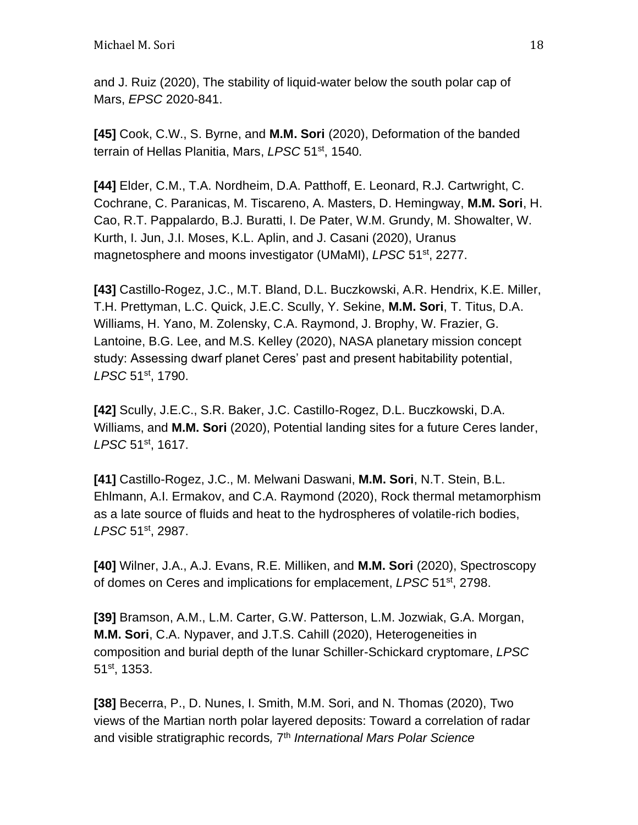and J. Ruiz (2020), The stability of liquid-water below the south polar cap of Mars, *EPSC* 2020-841.

**[45]** Cook, C.W., S. Byrne, and **M.M. Sori** (2020), Deformation of the banded terrain of Hellas Planitia, Mars, *LPSC* 51st, 1540.

**[44]** Elder, C.M., T.A. Nordheim, D.A. Patthoff, E. Leonard, R.J. Cartwright, C. Cochrane, C. Paranicas, M. Tiscareno, A. Masters, D. Hemingway, **M.M. Sori**, H. Cao, R.T. Pappalardo, B.J. Buratti, I. De Pater, W.M. Grundy, M. Showalter, W. Kurth, I. Jun, J.I. Moses, K.L. Aplin, and J. Casani (2020), Uranus magnetosphere and moons investigator (UMaMI), *LPSC* 51st, 2277.

**[43]** Castillo-Rogez, J.C., M.T. Bland, D.L. Buczkowski, A.R. Hendrix, K.E. Miller, T.H. Prettyman, L.C. Quick, J.E.C. Scully, Y. Sekine, **M.M. Sori**, T. Titus, D.A. Williams, H. Yano, M. Zolensky, C.A. Raymond, J. Brophy, W. Frazier, G. Lantoine, B.G. Lee, and M.S. Kelley (2020), NASA planetary mission concept study: Assessing dwarf planet Ceres' past and present habitability potential, *LPSC* 51st, 1790.

**[42]** Scully, J.E.C., S.R. Baker, J.C. Castillo-Rogez, D.L. Buczkowski, D.A. Williams, and **M.M. Sori** (2020), Potential landing sites for a future Ceres lander, *LPSC* 51st, 1617.

**[41]** Castillo-Rogez, J.C., M. Melwani Daswani, **M.M. Sori**, N.T. Stein, B.L. Ehlmann, A.I. Ermakov, and C.A. Raymond (2020), Rock thermal metamorphism as a late source of fluids and heat to the hydrospheres of volatile-rich bodies, *LPSC* 51st, 2987.

**[40]** Wilner, J.A., A.J. Evans, R.E. Milliken, and **M.M. Sori** (2020), Spectroscopy of domes on Ceres and implications for emplacement, *LPSC* 51st, 2798.

**[39]** Bramson, A.M., L.M. Carter, G.W. Patterson, L.M. Jozwiak, G.A. Morgan, **M.M. Sori**, C.A. Nypaver, and J.T.S. Cahill (2020), Heterogeneities in composition and burial depth of the lunar Schiller-Schickard cryptomare, *LPSC*  51st, 1353.

**[38]** Becerra, P., D. Nunes, I. Smith, M.M. Sori, and N. Thomas (2020), Two views of the Martian north polar layered deposits: Toward a correlation of radar and visible stratigraphic records*,* 7 th *International Mars Polar Science*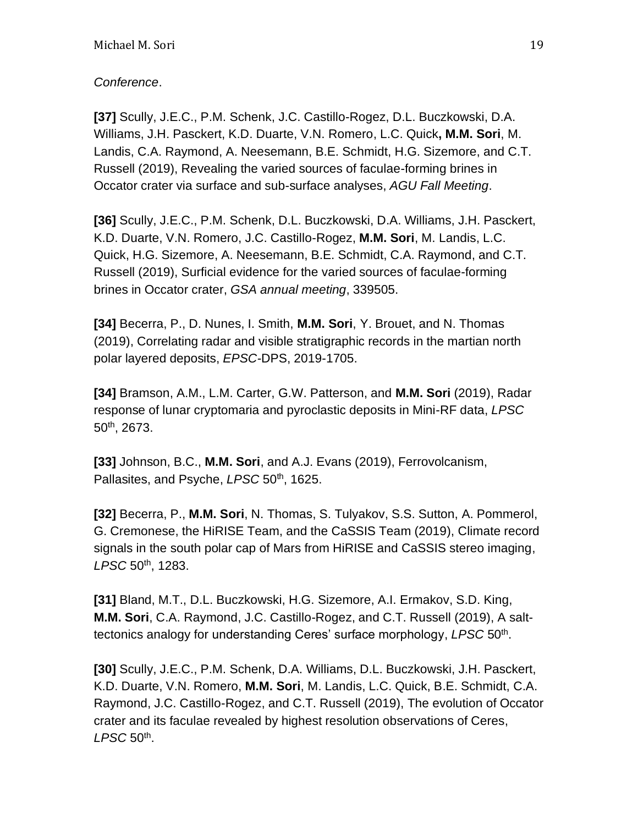### *Conference*.

**[37]** Scully, J.E.C., P.M. Schenk, J.C. Castillo-Rogez, D.L. Buczkowski, D.A. Williams, J.H. Pasckert, K.D. Duarte, V.N. Romero, L.C. Quick**, M.M. Sori**, M. Landis, C.A. Raymond, A. Neesemann, B.E. Schmidt, H.G. Sizemore, and C.T. Russell (2019), Revealing the varied sources of faculae-forming brines in Occator crater via surface and sub-surface analyses, *AGU Fall Meeting*.

**[36]** Scully, J.E.C., P.M. Schenk, D.L. Buczkowski, D.A. Williams, J.H. Pasckert, K.D. Duarte, V.N. Romero, J.C. Castillo-Rogez, **M.M. Sori**, M. Landis, L.C. Quick, H.G. Sizemore, A. Neesemann, B.E. Schmidt, C.A. Raymond, and C.T. Russell (2019), Surficial evidence for the varied sources of faculae-forming brines in Occator crater, *GSA annual meeting*, 339505.

**[34]** Becerra, P., D. Nunes, I. Smith, **M.M. Sori**, Y. Brouet, and N. Thomas (2019), Correlating radar and visible stratigraphic records in the martian north polar layered deposits, *EPSC-*DPS, 2019-1705.

**[34]** Bramson, A.M., L.M. Carter, G.W. Patterson, and **M.M. Sori** (2019), Radar response of lunar cryptomaria and pyroclastic deposits in Mini-RF data, *LPSC* 50th, 2673.

**[33]** Johnson, B.C., **M.M. Sori**, and A.J. Evans (2019), Ferrovolcanism, Pallasites, and Psyche, LPSC 50<sup>th</sup>, 1625.

**[32]** Becerra, P., **M.M. Sori**, N. Thomas, S. Tulyakov, S.S. Sutton, A. Pommerol, G. Cremonese, the HiRISE Team, and the CaSSIS Team (2019), Climate record signals in the south polar cap of Mars from HiRISE and CaSSIS stereo imaging, *LPSC* 50th, 1283.

**[31]** Bland, M.T., D.L. Buczkowski, H.G. Sizemore, A.I. Ermakov, S.D. King, **M.M. Sori**, C.A. Raymond, J.C. Castillo-Rogez, and C.T. Russell (2019), A salttectonics analogy for understanding Ceres' surface morphology, LPSC 50<sup>th</sup>.

**[30]** Scully, J.E.C., P.M. Schenk, D.A. Williams, D.L. Buczkowski, J.H. Pasckert, K.D. Duarte, V.N. Romero, **M.M. Sori**, M. Landis, L.C. Quick, B.E. Schmidt, C.A. Raymond, J.C. Castillo-Rogez, and C.T. Russell (2019), The evolution of Occator crater and its faculae revealed by highest resolution observations of Ceres, *LPSC* 50th .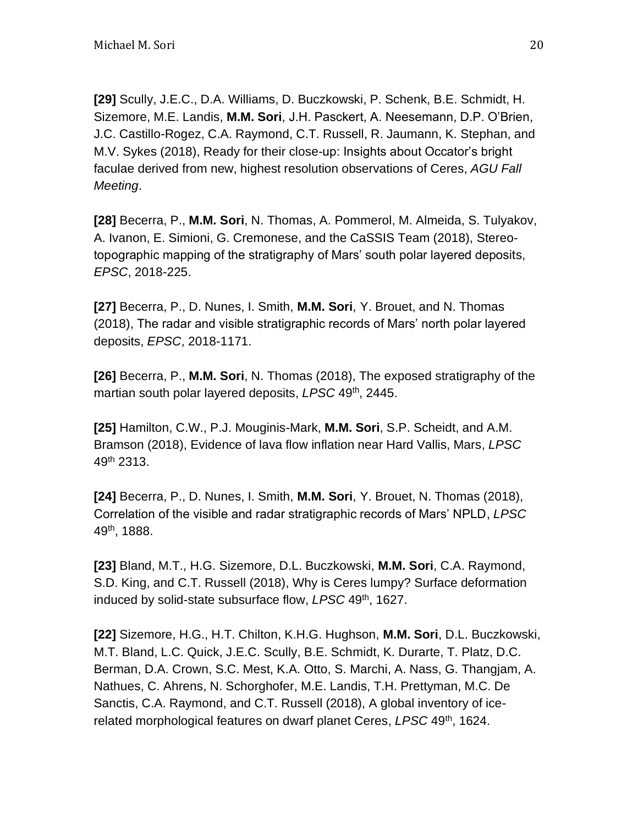**[29]** Scully, J.E.C., D.A. Williams, D. Buczkowski, P. Schenk, B.E. Schmidt, H. Sizemore, M.E. Landis, **M.M. Sori**, J.H. Pasckert, A. Neesemann, D.P. O'Brien, J.C. Castillo-Rogez, C.A. Raymond, C.T. Russell, R. Jaumann, K. Stephan, and M.V. Sykes (2018), Ready for their close-up: Insights about Occator's bright faculae derived from new, highest resolution observations of Ceres, *AGU Fall Meeting*.

**[28]** Becerra, P., **M.M. Sori**, N. Thomas, A. Pommerol, M. Almeida, S. Tulyakov, A. Ivanon, E. Simioni, G. Cremonese, and the CaSSIS Team (2018), Stereotopographic mapping of the stratigraphy of Mars' south polar layered deposits, *EPSC*, 2018-225.

**[27]** Becerra, P., D. Nunes, I. Smith, **M.M. Sori**, Y. Brouet, and N. Thomas (2018), The radar and visible stratigraphic records of Mars' north polar layered deposits, *EPSC*, 2018-1171.

**[26]** Becerra, P., **M.M. Sori**, N. Thomas (2018), The exposed stratigraphy of the martian south polar layered deposits, LPSC 49<sup>th</sup>, 2445.

**[25]** Hamilton, C.W., P.J. Mouginis-Mark, **M.M. Sori**, S.P. Scheidt, and A.M. Bramson (2018), Evidence of lava flow inflation near Hard Vallis, Mars, *LPSC* 49th 2313.

**[24]** Becerra, P., D. Nunes, I. Smith, **M.M. Sori**, Y. Brouet, N. Thomas (2018), Correlation of the visible and radar stratigraphic records of Mars' NPLD, *LPSC* 49th, 1888.

**[23]** Bland, M.T., H.G. Sizemore, D.L. Buczkowski, **M.M. Sori**, C.A. Raymond, S.D. King, and C.T. Russell (2018), Why is Ceres lumpy? Surface deformation induced by solid-state subsurface flow, LPSC 49<sup>th</sup>, 1627.

**[22]** Sizemore, H.G., H.T. Chilton, K.H.G. Hughson, **M.M. Sori**, D.L. Buczkowski, M.T. Bland, L.C. Quick, J.E.C. Scully, B.E. Schmidt, K. Durarte, T. Platz, D.C. Berman, D.A. Crown, S.C. Mest, K.A. Otto, S. Marchi, A. Nass, G. Thangjam, A. Nathues, C. Ahrens, N. Schorghofer, M.E. Landis, T.H. Prettyman, M.C. De Sanctis, C.A. Raymond, and C.T. Russell (2018), A global inventory of icerelated morphological features on dwarf planet Ceres, *LPSC* 49th, 1624.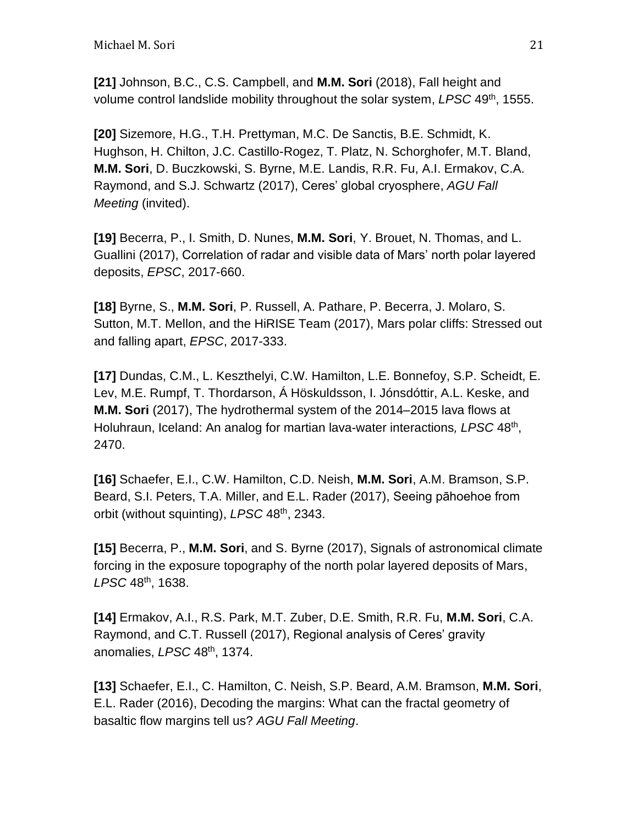**[21]** Johnson, B.C., C.S. Campbell, and **M.M. Sori** (2018), Fall height and volume control landslide mobility throughout the solar system, *LPSC* 49th, 1555.

**[20]** Sizemore, H.G., T.H. Prettyman, M.C. De Sanctis, B.E. Schmidt, K. Hughson, H. Chilton, J.C. Castillo-Rogez, T. Platz, N. Schorghofer, M.T. Bland, **M.M. Sori**, D. Buczkowski, S. Byrne, M.E. Landis, R.R. Fu, A.I. Ermakov, C.A. Raymond, and S.J. Schwartz (2017), Ceres' global cryosphere, *AGU Fall Meeting* (invited).

**[19]** Becerra, P., I. Smith, D. Nunes, **M.M. Sori**, Y. Brouet, N. Thomas, and L. Guallini (2017), Correlation of radar and visible data of Mars' north polar layered deposits, *EPSC*, 2017-660.

**[18]** Byrne, S., **M.M. Sori**, P. Russell, A. Pathare, P. Becerra, J. Molaro, S. Sutton, M.T. Mellon, and the HiRISE Team (2017), Mars polar cliffs: Stressed out and falling apart, *EPSC*, 2017-333.

**[17]** Dundas, C.M., L. Keszthelyi, C.W. Hamilton, L.E. Bonnefoy, S.P. Scheidt, E. Lev, M.E. Rumpf, T. Thordarson, Á Höskuldsson, I. Jónsdóttir, A.L. Keske, and **M.M. Sori** (2017), The hydrothermal system of the 2014–2015 lava flows at Holuhraun, Iceland: An analog for martian lava-water interactions, LPSC 48<sup>th</sup>, 2470.

**[16]** Schaefer, E.I., C.W. Hamilton, C.D. Neish, **M.M. Sori**, A.M. Bramson, S.P. Beard, S.I. Peters, T.A. Miller, and E.L. Rader (2017), Seeing pāhoehoe from orbit (without squinting), *LPSC* 48th, 2343.

**[15]** Becerra, P., **M.M. Sori**, and S. Byrne (2017), Signals of astronomical climate forcing in the exposure topography of the north polar layered deposits of Mars, *LPSC* 48th, 1638.

**[14]** Ermakov, A.I., R.S. Park, M.T. Zuber, D.E. Smith, R.R. Fu, **M.M. Sori**, C.A. Raymond, and C.T. Russell (2017), Regional analysis of Ceres' gravity anomalies, *LPSC* 48th, 1374.

**[13]** Schaefer, E.I., C. Hamilton, C. Neish, S.P. Beard, A.M. Bramson, **M.M. Sori**, E.L. Rader (2016), Decoding the margins: What can the fractal geometry of basaltic flow margins tell us? *AGU Fall Meeting*.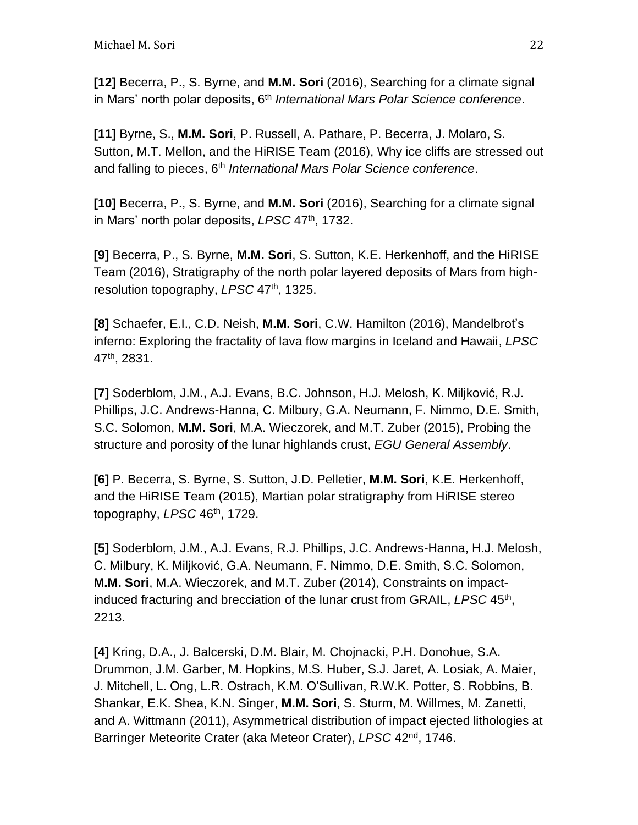**[12]** Becerra, P., S. Byrne, and **M.M. Sori** (2016), Searching for a climate signal in Mars' north polar deposits, 6<sup>th</sup> International Mars Polar Science conference.

**[11]** Byrne, S., **M.M. Sori**, P. Russell, A. Pathare, P. Becerra, J. Molaro, S. Sutton, M.T. Mellon, and the HiRISE Team (2016), Why ice cliffs are stressed out and falling to pieces, 6<sup>th</sup> International Mars Polar Science conference.

**[10]** Becerra, P., S. Byrne, and **M.M. Sori** (2016), Searching for a climate signal in Mars' north polar deposits, LPSC 47<sup>th</sup>, 1732.

**[9]** Becerra, P., S. Byrne, **M.M. Sori**, S. Sutton, K.E. Herkenhoff, and the HiRISE Team (2016), Stratigraphy of the north polar layered deposits of Mars from highresolution topography, *LPSC* 47th, 1325.

**[8]** Schaefer, E.I., C.D. Neish, **M.M. Sori**, C.W. Hamilton (2016), Mandelbrot's inferno: Exploring the fractality of lava flow margins in Iceland and Hawaii, *LPSC* 47th, 2831.

**[7]** Soderblom, J.M., A.J. Evans, B.C. Johnson, H.J. Melosh, K. Miljković, R.J. Phillips, J.C. Andrews-Hanna, C. Milbury, G.A. Neumann, F. Nimmo, D.E. Smith, S.C. Solomon, **M.M. Sori**, M.A. Wieczorek, and M.T. Zuber (2015), Probing the structure and porosity of the lunar highlands crust, *EGU General Assembly*.

**[6]** P. Becerra, S. Byrne, S. Sutton, J.D. Pelletier, **M.M. Sori**, K.E. Herkenhoff, and the HiRISE Team (2015), Martian polar stratigraphy from HiRISE stereo topography, *LPSC* 46th, 1729.

**[5]** Soderblom, J.M., A.J. Evans, R.J. Phillips, J.C. Andrews-Hanna, H.J. Melosh, C. Milbury, K. Miljković, G.A. Neumann, F. Nimmo, D.E. Smith, S.C. Solomon, **M.M. Sori**, M.A. Wieczorek, and M.T. Zuber (2014), Constraints on impactinduced fracturing and brecciation of the lunar crust from GRAIL, LPSC 45<sup>th</sup>, 2213.

**[4]** Kring, D.A., J. Balcerski, D.M. Blair, M. Chojnacki, P.H. Donohue, S.A. Drummon, J.M. Garber, M. Hopkins, M.S. Huber, S.J. Jaret, A. Losiak, A. Maier, J. Mitchell, L. Ong, L.R. Ostrach, K.M. O'Sullivan, R.W.K. Potter, S. Robbins, B. Shankar, E.K. Shea, K.N. Singer, **M.M. Sori**, S. Sturm, M. Willmes, M. Zanetti, and A. Wittmann (2011), Asymmetrical distribution of impact ejected lithologies at Barringer Meteorite Crater (aka Meteor Crater), *LPSC* 42nd, 1746.